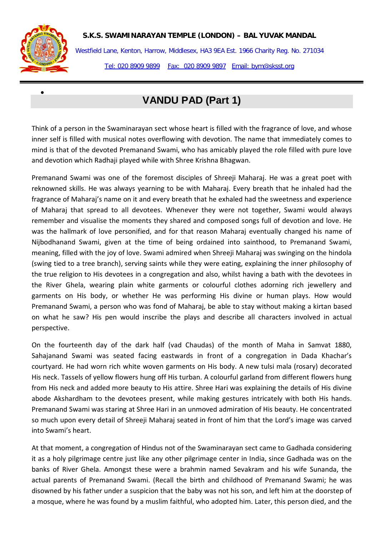

•

Westfield Lane, Kenton, Harrow, Middlesex, HA3 9EA Est. 1966 Charity Reg. No. 271034 Tel: 020 8909 9899 Fax: 020 8909 9897 Email: bym@sksst.org

# **VANDU PAD (Part 1)**

Think of a person in the Swaminarayan sect whose heart is filled with the fragrance of love, and whose inner self is filled with musical notes overflowing with devotion. The name that immediately comes to mind is that of the devoted Premanand Swami, who has amicably played the role filled with pure love and devotion which Radhaji played while with Shree Krishna Bhagwan.

Premanand Swami was one of the foremost disciples of Shreeji Maharaj. He was a great poet with reknowned skills. He was always yearning to be with Maharaj. Every breath that he inhaled had the fragrance of Maharaj's name on it and every breath that he exhaled had the sweetness and experience of Maharaj that spread to all devotees. Whenever they were not together, Swami would always remember and visualise the moments they shared and composed songs full of devotion and love. He was the hallmark of love personified, and for that reason Maharaj eventually changed his name of Nijbodhanand Swami, given at the time of being ordained into sainthood, to Premanand Swami, meaning, filled with the joy of love. Swami admired when Shreeji Maharaj was swinging on the hindola (swing tied to a tree branch), serving saints while they were eating, explaining the inner philosophy of the true religion to His devotees in a congregation and also, whilst having a bath with the devotees in the River Ghela, wearing plain white garments or colourful clothes adorning rich jewellery and garments on His body, or whether He was performing His divine or human plays. How would Premanand Swami, a person who was fond of Maharaj, be able to stay without making a kirtan based on what he saw? His pen would inscribe the plays and describe all characters involved in actual perspective.

On the fourteenth day of the dark half (vad Chaudas) of the month of Maha in Samvat 1880, Sahajanand Swami was seated facing eastwards in front of a congregation in Dada Khachar's courtyard. He had worn rich white woven garments on His body. A new tulsi mala (rosary) decorated His neck. Tassels of yellow flowers hung off His turban. A colourful garland from different flowers hung from His neck and added more beauty to His attire. Shree Hari was explaining the details of His divine abode Akshardham to the devotees present, while making gestures intricately with both His hands. Premanand Swami was staring at Shree Hari in an unmoved admiration of His beauty. He concentrated so much upon every detail of Shreeji Maharaj seated in front of him that the Lord's image was carved into Swami's heart.

At that moment, a congregation of Hindus not of the Swaminarayan sect came to Gadhada considering it as a holy pilgrimage centre just like any other pilgrimage center in India, since Gadhada was on the banks of River Ghela. Amongst these were a brahmin named Sevakram and his wife Sunanda, the actual parents of Premanand Swami. (Recall the birth and childhood of Premanand Swami; he was disowned by his father under a suspicion that the baby was not his son, and left him at the doorstep of a mosque, where he was found by a muslim faithful, who adopted him. Later, this person died, and the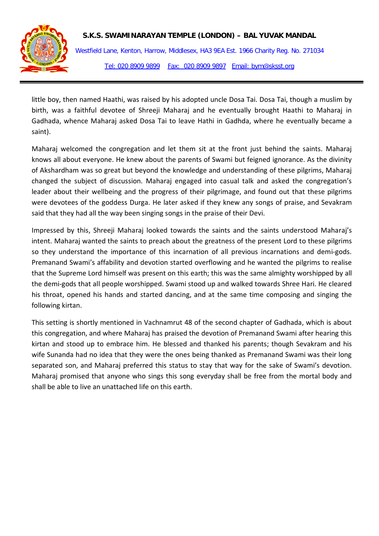Westfield Lane, Kenton, Harrow, Middlesex, HA3 9EA Est. 1966 Charity Reg. No. 271034 Tel: 020 8909 9899 Fax: 020 8909 9897 Email: bym@sksst.org

little boy, then named Haathi, was raised by his adopted uncle Dosa Tai. Dosa Tai, though a muslim by birth, was a faithful devotee of Shreeji Maharaj and he eventually brought Haathi to Maharaj in Gadhada, whence Maharaj asked Dosa Tai to leave Hathi in Gadhda, where he eventually became a saint).

Maharaj welcomed the congregation and let them sit at the front just behind the saints. Maharaj knows all about everyone. He knew about the parents of Swami but feigned ignorance. As the divinity of Akshardham was so great but beyond the knowledge and understanding of these pilgrims, Maharaj changed the subject of discussion. Maharaj engaged into casual talk and asked the congregation's leader about their wellbeing and the progress of their pilgrimage, and found out that these pilgrims were devotees of the goddess Durga. He later asked if they knew any songs of praise, and Sevakram said that they had all the way been singing songs in the praise of their Devi.

Impressed by this, Shreeji Maharaj looked towards the saints and the saints understood Maharaj's intent. Maharaj wanted the saints to preach about the greatness of the present Lord to these pilgrims so they understand the importance of this incarnation of all previous incarnations and demi-gods. Premanand Swami's affability and devotion started overflowing and he wanted the pilgrims to realise that the Supreme Lord himself was present on this earth; this was the same almighty worshipped by all the demi-gods that all people worshipped. Swami stood up and walked towards Shree Hari. He cleared his throat, opened his hands and started dancing, and at the same time composing and singing the following kirtan.

This setting is shortly mentioned in Vachnamrut 48 of the second chapter of Gadhada, which is about this congregation, and where Maharaj has praised the devotion of Premanand Swami after hearing this kirtan and stood up to embrace him. He blessed and thanked his parents; though Sevakram and his wife Sunanda had no idea that they were the ones being thanked as Premanand Swami was their long separated son, and Maharaj preferred this status to stay that way for the sake of Swami's devotion. Maharaj promised that anyone who sings this song everyday shall be free from the mortal body and shall be able to live an unattached life on this earth.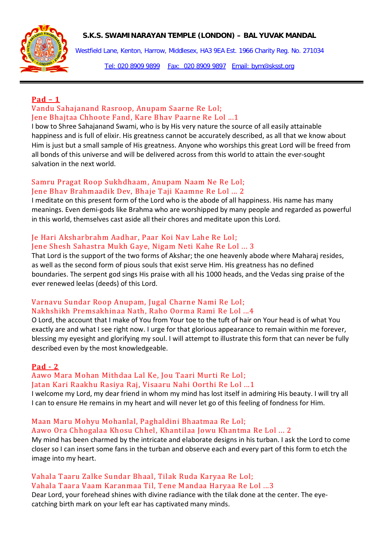

Westfield Lane, Kenton, Harrow, Middlesex, HA3 9EA Est. 1966 Charity Reg. No. 271034

Tel: 020 8909 9899 Fax: 020 8909 9897 Email: bym@sksst.org

# **Pad – 1**

### Vandu Sahajanand Rasroop, Anupam Saarne Re Lol; Jene Bhajtaa Chhoote Fand, Kare Bhav Paarne Re Lol ...1

I bow to Shree Sahajanand Swami, who is by His very nature the source of all easily attainable happiness and is full of elixir. His greatness cannot be accurately described, as all that we know about Him is just but a small sample of His greatness. Anyone who worships this great Lord will be freed from all bonds of this universe and will be delivered across from this world to attain the ever-sought salvation in the next world.

# Samru Pragat Roop Sukhdhaam, Anupam Naam Ne Re Lol; Jene Bhav Brahmaadik Dev, Bhaje Taji Kaamne Re Lol ... 2

I meditate on this present form of the Lord who is the abode of all happiness. His name has many meanings. Even demi-gods like Brahma who are worshipped by many people and regarded as powerful in this world, themselves cast aside all their chores and meditate upon this Lord.

# Je Hari Aksharbrahm Aadhar, Paar Koi Nav Lahe Re Lol; Jene Shesh Sahastra Mukh Gaye, Nigam Neti Kahe Re Lol ... 3

That Lord is the support of the two forms of Akshar; the one heavenly abode where Maharaj resides, as well as the second form of pious souls that exist serve Him. His greatness has no defined boundaries. The serpent god sings His praise with all his 1000 heads, and the Vedas sing praise of the ever renewed leelas (deeds) of this Lord.

# Varnavu Sundar Roop Anupam, Jugal Charne Nami Re Lol; Nakhshikh Premsakhinaa Nath, Raho Oorma Rami Re Lol ...4

O Lord, the account that I make of You from Your toe to the tuft of hair on Your head is of what You exactly are and what I see right now. I urge for that glorious appearance to remain within me forever, blessing my eyesight and glorifying my soul. I will attempt to illustrate this form that can never be fully described even by the most knowledgeable.

# **Pad - 2**

# Aawo Mara Mohan Mithdaa Lal Ke, Jou Taari Murti Re Lol; Jatan Kari Raakhu Rasiya Raj, Visaaru Nahi Oorthi Re Lol ...1

I welcome my Lord, my dear friend in whom my mind has lost itself in admiring His beauty. I will try all I can to ensure He remains in my heart and will never let go of this feeling of fondness for Him.

#### Maan Maru Mohyu Mohanlal, Paghaldini Bhaatmaa Re Lol; Aawo Ora Chhogalaa Khosu Chhel, Khantilaa Jowu Khantma Re Lol ... 2

My mind has been charmed by the intricate and elaborate designs in his turban. I ask the Lord to come closer so I can insert some fans in the turban and observe each and every part of this form to etch the image into my heart.

# Vahala Taaru Zalke Sundar Bhaal, Tilak Ruda Karyaa Re Lol; Vahala Taara Vaam Karanmaa Til, Tene Mandaa Haryaa Re Lol ...3

Dear Lord, your forehead shines with divine radiance with the tilak done at the center. The eyecatching birth mark on your left ear has captivated many minds.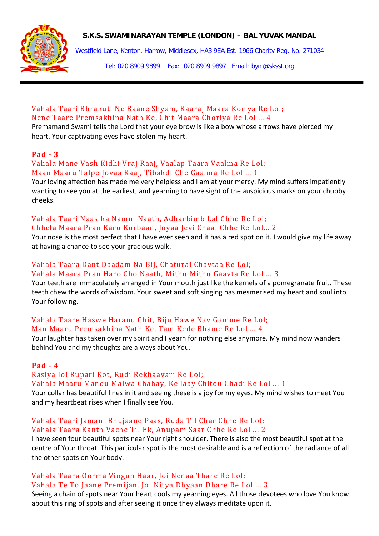

Westfield Lane, Kenton, Harrow, Middlesex, HA3 9EA Est. 1966 Charity Reg. No. 271034

Tel: 020 8909 9899 Fax: 020 8909 9897 Email: bym@sksst.org

### Vahala Taari Bhrakuti Ne Baane Shyam, Kaaraj Maara Koriya Re Lol; Nene Taare Premsakhina Nath Ke, Chit Maara Choriya Re Lol ... 4

Premamand Swami tells the Lord that your eye brow is like a bow whose arrows have pierced my heart. Your captivating eyes have stolen my heart.

#### **Pad - 3**

#### Vahala Mane Vash Kidhi Vraj Raaj, Vaalap Taara Vaalma Re Lol; Maan Maaru Talpe Jovaa Kaaj, Tibakdi Che Gaalma Re Lol ... 1

Your loving affection has made me very helpless and I am at your mercy. My mind suffers impatiently wanting to see you at the earliest, and yearning to have sight of the auspicious marks on your chubby cheeks.

# Vahala Taari Naasika Namni Naath, Adharbimb Lal Chhe Re Lol; Chhela Maara Pran Karu Kurbaan, Joyaa Jevi Chaal Chhe Re Lol... 2

Your nose is the most perfect that I have ever seen and it has a red spot on it. I would give my life away at having a chance to see your gracious walk.

#### Vahala Taara Dant Daadam Na Bij, Chaturai Chavtaa Re Lol; Vahala Maara Pran Haro Cho Naath, Mithu Mithu Gaavta Re Lol ... 3

Your teeth are immaculately arranged in Your mouth just like the kernels of a pomegranate fruit. These teeth chew the words of wisdom. Your sweet and soft singing has mesmerised my heart and soul into Your following.

# Vahala Taare Haswe Haranu Chit, Biju Hawe Nav Gamme Re Lol; Man Maaru Premsakhina Nath Ke, Tam Kede Bhame Re Lol ... 4

Your laughter has taken over my spirit and I yearn for nothing else anymore. My mind now wanders behind You and my thoughts are always about You.

#### **Pad - 4**

Rasiya Joi Rupari Kot, Rudi Rekhaavari Re Lol;

Vahala Maaru Mandu Malwa Chahay, Ke Jaay Chitdu Chadi Re Lol ... 1

Your collar has beautiful lines in it and seeing these is a joy for my eyes. My mind wishes to meet You and my heartbeat rises when I finally see You.

#### Vahala Taari Jamani Bhujaane Paas, Ruda Til Char Chhe Re Lol; Vahala Taara Kanth Vache Til Ek, Anupam Saar Chhe Re Lol ... 2

I have seen four beautiful spots near Your right shoulder. There is also the most beautiful spot at the centre of Your throat. This particular spot is the most desirable and is a reflection of the radiance of all the other spots on Your body.

# Vahala Taara Oorma Vingun Haar, Joi Nenaa Thare Re Lol; Vahala Te To Jaane Premijan, Joi Nitya Dhyaan Dhare Re Lol ... 3

Seeing a chain of spots near Your heart cools my yearning eyes. All those devotees who love You know about this ring of spots and after seeing it once they always meditate upon it.